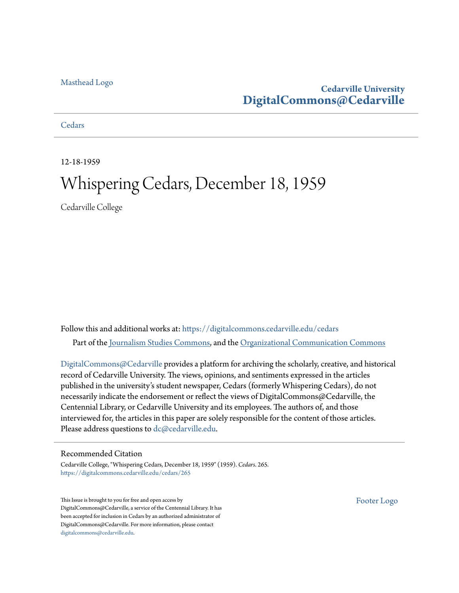#### [Masthead Logo](http://www.cedarville.edu/?utm_source=digitalcommons.cedarville.edu%2Fcedars%2F265&utm_medium=PDF&utm_campaign=PDFCoverPages)

# **Cedarville University [DigitalCommons@Cedarville](https://digitalcommons.cedarville.edu?utm_source=digitalcommons.cedarville.edu%2Fcedars%2F265&utm_medium=PDF&utm_campaign=PDFCoverPages)**

**[Cedars](https://digitalcommons.cedarville.edu/cedars?utm_source=digitalcommons.cedarville.edu%2Fcedars%2F265&utm_medium=PDF&utm_campaign=PDFCoverPages)** 

12-18-1959

# Whispering Cedars, December 18, 1959

Cedarville College

Follow this and additional works at: [https://digitalcommons.cedarville.edu/cedars](https://digitalcommons.cedarville.edu/cedars?utm_source=digitalcommons.cedarville.edu%2Fcedars%2F265&utm_medium=PDF&utm_campaign=PDFCoverPages) Part of the [Journalism Studies Commons](http://network.bepress.com/hgg/discipline/333?utm_source=digitalcommons.cedarville.edu%2Fcedars%2F265&utm_medium=PDF&utm_campaign=PDFCoverPages), and the [Organizational Communication Commons](http://network.bepress.com/hgg/discipline/335?utm_source=digitalcommons.cedarville.edu%2Fcedars%2F265&utm_medium=PDF&utm_campaign=PDFCoverPages)

[DigitalCommons@Cedarville](http://digitalcommons.cedarville.edu/) provides a platform for archiving the scholarly, creative, and historical record of Cedarville University. The views, opinions, and sentiments expressed in the articles published in the university's student newspaper, Cedars (formerly Whispering Cedars), do not necessarily indicate the endorsement or reflect the views of DigitalCommons@Cedarville, the Centennial Library, or Cedarville University and its employees. The authors of, and those interviewed for, the articles in this paper are solely responsible for the content of those articles. Please address questions to [dc@cedarville.edu.](mailto:dc@cedarville.edu)

#### Recommended Citation

Cedarville College, "Whispering Cedars, December 18, 1959" (1959). *Cedars*. 265. [https://digitalcommons.cedarville.edu/cedars/265](https://digitalcommons.cedarville.edu/cedars/265?utm_source=digitalcommons.cedarville.edu%2Fcedars%2F265&utm_medium=PDF&utm_campaign=PDFCoverPages)

This Issue is brought to you for free and open access by DigitalCommons@Cedarville, a service of the Centennial Library. It has been accepted for inclusion in Cedars by an authorized administrator of DigitalCommons@Cedarville. For more information, please contact [digitalcommons@cedarville.edu](mailto:digitalcommons@cedarville.edu).

[Footer Logo](http://www.cedarville.edu/Academics/Library.aspx?utm_source=digitalcommons.cedarville.edu%2Fcedars%2F265&utm_medium=PDF&utm_campaign=PDFCoverPages)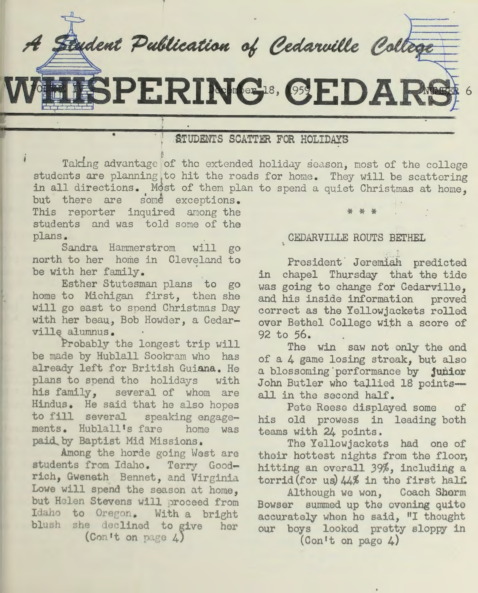redent Publication of Cedarwille College

SPERING® SEDARS

# STUDENTS SCATTER FOR HOLIDAYS

Taking advantage of the extended holiday season, most of the college students are planning to hit the roads for home. They will be scattering in all directions. Most of them plan to spend a quiet Christmas at home.

but there are some exceptions. This reporter inquired anong the students and was told some of the plans .

•

Sandra Hammerstrom will go north to her home in Cleveland to be with her family .

Esther Stutesman plans to go home to Michigan first, then she will go east to spend Christmas Day with her beau, Bob Howder, a Cedarville alumnus.

Probably the longest trip will be made by Hublall Sookram who has already left for British Guiana. He plans to spend the holidays with his family, several of whom are Hindus . He said that he also hopes to fill several speaking engagements. Hublall's fare home was paid\_ by Baptist Mid Missions.

Among the horde going West are students from Idaho. Terry Goodrich, Gweneth Bennet, and Virginia Lowe will spend the season at home, but Helen Stevens will proceed from Idaho to Oregon. With a bright blush she declined to give her (Con't on page  $4$ )

## CEDARVILLE ROUTS BETHEL

\* \* \*

6

President Jeremiah predicted in chapel Thursday that the tide was going to change for Cedarville. and his inside information proved correct as the Yellowjackets rolled over Bethel College with a score of 92 to 56.

The win saw not only the end of a 4 game losing streak, but also <sup>a</sup>blossoming·porformance by **junior**  John Butler who tallied 18 pointsall in the second half.

Pete Reese displayed some of his old prowess in leading both teams with 24 points.

The Yellowjackets had one of their hottest nights from the floor, hitting an overall 39%, including <sup>a</sup> torrid(for us)  $44\%$  in the first half.

Although we won, Coach Sherm Bowser summed up the evening quite accurately whon he said, "I thought our boys looked pretty sloppy in

(Con <sup>1</sup>t on pugo 4)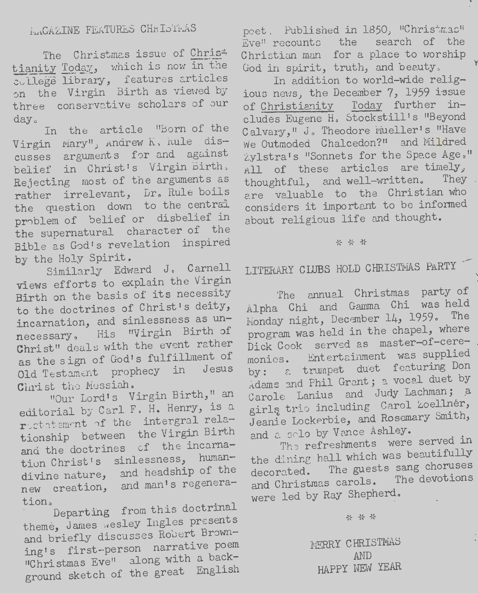The Christmas issue of Chris= tianity Today, which is now in the college library, features articles on the Virgin Birth as viewed by three conservative scholars of our day.

In the article "Born of the Virgin Mary", Andrew K, hule discusses arguments for and against belief in Christ's Virgin Birth, Rejecting most of the arguments as rather irrelevant, Dr. Rule boils the question down to the central problem of belief or disbelief in the supernatural character of the Bible as God's revelation inspired by the Holy Spirit.

Similarly Edward J. Carnell views efforts to explain the Virgin Birth on the basis of its necessity to the doctrines of Christ's deity, incarnation, and sinlessness as unnecessary. His "Virgin Birth of Christ" deals with the event rather as the sign of God's fulfillment of Old Testament prophecy in Jesus Christ the Messiah.

"Our Lord's Virgin Birth," an editorial by Carl F. H. Henry, is a rectatement of the intergral relationship between the Virgin Birth and the doctrines of the incarnation Christ's sinlessness, humandivine nature, and headship of the new creation, and man's regeneration.

Departing from this doctrinal theme, James wesley Ingles presents and briefly discusses Robert Browning's first-person narrative poem "Christmas Eve" along with a background sketch of the great English

poet, Published in 1850, "Christmas" Eve" recounts the search of the Christian man for a place to worship God in spirit, truth, and beauty.

In addition to world-wide religious news, the December 7, 1959 issue of Christianity Today further includes Eugene H. Stockstill's "Beyond Calvary," J. Theodore Mueller's "Have We Outmoded Chalcedon?" and Mildred Zylstra's "Sonnets for the Space Age," All of these articles are timely, thoughtful, and well-written. They are valuable to the Christian who considers it important to be informed about religious life and thought.

#### \* \* \*

# LITERARY CLUBS HOLD CHRISTMAS PARTY

The annual Christmas party of Alpha Chi and Gamma Chi was held Monday night, December 14, 1959. The program was held in the chapel, where Dick Cook served as master-of-ceremonies. Entertainment was supplied by: a trumpet duet featuring Don Adams and Phil Grant; a vocal duet by Carole Lanius and Judy Lachman; a girlş trio including Carol Zoellner, Jeanie Lockerbie, and Rosemary Smith, and a solo by Vance Ashley.

The refreshments were served in the dining hall which was beautifully decorated. The guests sang choruses and Christmas carols. The devotions were led by Ray Shepherd.

\* \* \*

MERRY CHRISTMAS AND HAPPY NEW YEAR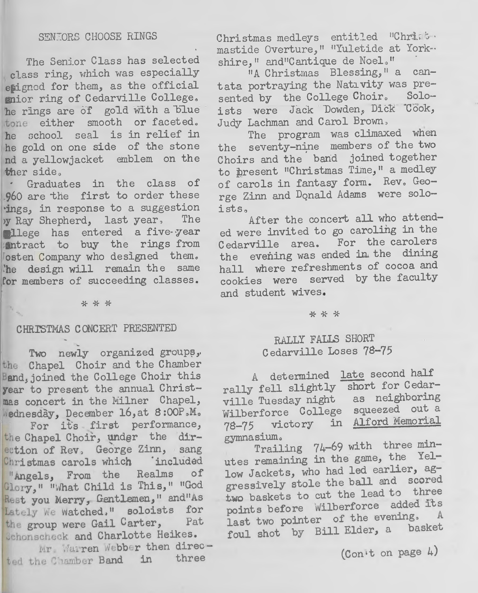The Senior Class has selected class ring, which was especially esigned for them, as the official enior ring of Cedarville College. he rings are of gold with a blue tone either smooth or faceted. he school seal is in relief in he gold on one side of the stone nd a yellowjacket emblem on the ther side.

Graduates in the class of 960 are the first to order these ings, in response to a suggestion y Ray Shepherd, last year, The llege has entered a five-year entract to buy the rings from osten Company who designed them. the design will remain the same for members of succeeding classes.

\* \* \*

#### CHRISTMAS CONCERT PRESENTED

Two newly organized groups, the Chapel Choir and the Chamber Band, joined the College Choir this year to present the annual Christmas concert in the Milner Chapel, Mednesday, December 16, at 8:00P.M.

For its first performance, the Chapel Choir, under the direttion of Rev, George Zinn, sang Christmas carols which included "Angels, From the Realms οf Glory," "What Child is This," "God Rest you Merry, Gentlemen," and"As Lately We watched." soloists for the group were Gail Carter, Pat Schonacheck and Charlotte Heikes.

Mr Marren Webber then directed the Chamber Band in three

Christmas medleys entitled "Christ. mastide Overture," "Yuletide at York -shire," and"Cantique de Noel."

"A Christmas Blessing," a cantata portraying the Nativity was presented by the College Choir. Soloists were Jack Dowden, Dick Cook, Judy Lachman and Carol Brown,

The program was climaxed when the seventy-nine members of the two Choirs and the band joined together to present "Christmas Time," a medley of carols in fantasy form. Rev. George Zinn and Donald Adams were soloists.

After the concert all who attended were invited to go caroling in the Cedarville area. For the carolers the evening was ended in the dining hall where refreshments of cocoa and cookies were served by the faculty and student wives.

#### \* \* \*

## RALLY FALLS SHORT Cedarville Loses 78-75

A determined late second half rally fell slightly short for Cedarville Tuesday night as neighboring Wilberforce College squeezed out a 78-75 victory in Alford Memorial gymnasium.

Trailing 74-69 with three minutes remaining in the game, the Yellow Jackets, who had led earlier, aggressively stole the ball and scored two baskets to cut the lead to three points before Wilberforce added its last two pointer of the evening. A foul shot by Bill Elder, a basket

 $(Con't on page 4)$